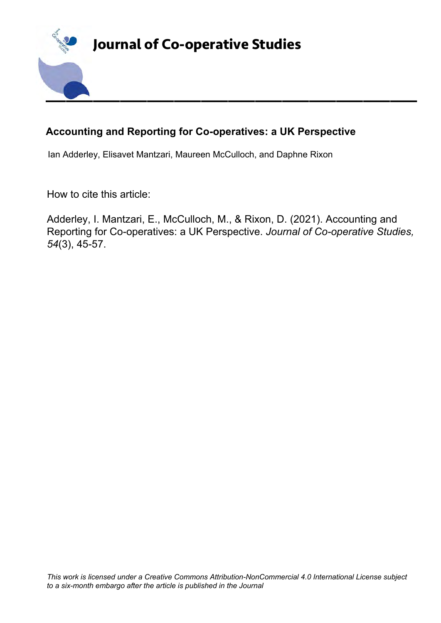

## **Accounting and Reporting for Co-operatives: a UK Perspective**

Ian Adderley, Elisavet Mantzari, Maureen McCulloch, and Daphne Rixon

How to cite this article:

Adderley, I. Mantzari, E., McCulloch, M., & Rixon, D. (2021). Accounting and Reporting for Co-operatives: a UK Perspective. *Journal of Co-operative Studies, 54*(3), 45-57.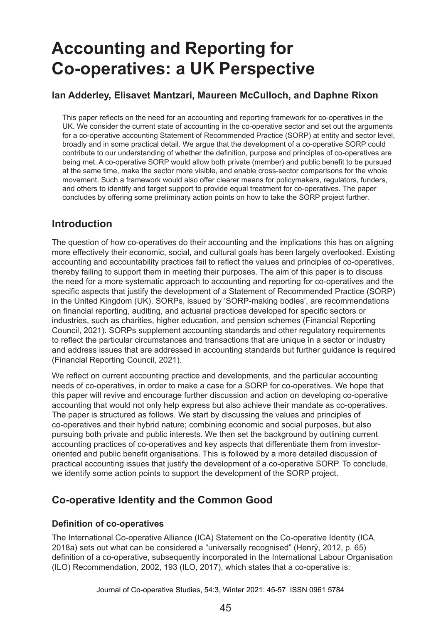# **Accounting and Reporting for Co‑operatives: a UK Perspective**

### **Ian Adderley, Elisavet Mantzari, Maureen McCulloch, and Daphne Rixon**

This paper reflects on the need for an accounting and reporting framework for co-operatives in the UK. We consider the current state of accounting in the co-operative sector and set out the arguments for a co-operative accounting Statement of Recommended Practice (SORP) at entity and sector level, broadly and in some practical detail. We argue that the development of a co-operative SORP could contribute to our understanding of whether the definition, purpose and principles of co-operatives are being met. A co-operative SORP would allow both private (member) and public benefit to be pursued at the same time, make the sector more visible, and enable cross-sector comparisons for the whole movement. Such a framework would also offer clearer means for policymakers, regulators, funders, and others to identify and target support to provide equal treatment for co-operatives. The paper concludes by offering some preliminary action points on how to take the SORP project further.

## **Introduction**

The question of how co-operatives do their accounting and the implications this has on aligning more effectively their economic, social, and cultural goals has been largely overlooked. Existing accounting and accountability practices fail to reflect the values and principles of co-operatives, thereby failing to support them in meeting their purposes. The aim of this paper is to discuss the need for a more systematic approach to accounting and reporting for co-operatives and the specific aspects that justify the development of a Statement of Recommended Practice (SORP) in the United Kingdom (UK). SORPs, issued by 'SORP-making bodies', are recommendations on financial reporting, auditing, and actuarial practices developed for specific sectors or industries, such as charities, higher education, and pension schemes (Financial Reporting Council, 2021). SORPs supplement accounting standards and other regulatory requirements to reflect the particular circumstances and transactions that are unique in a sector or industry and address issues that are addressed in accounting standards but further guidance is required (Financial Reporting Council, 2021).

We reflect on current accounting practice and developments, and the particular accounting needs of co-operatives, in order to make a case for a SORP for co-operatives. We hope that this paper will revive and encourage further discussion and action on developing co-operative accounting that would not only help express but also achieve their mandate as co-operatives. The paper is structured as follows. We start by discussing the values and principles of co-operatives and their hybrid nature; combining economic and social purposes, but also pursuing both private and public interests. We then set the background by outlining current accounting practices of co-operatives and key aspects that differentiate them from investororiented and public benefit organisations. This is followed by a more detailed discussion of practical accounting issues that justify the development of a co-operative SORP. To conclude, we identify some action points to support the development of the SORP project.

## **Co-operative Identity and the Common Good**

#### **Definition of co-operatives**

The International Co-operative Alliance (ICA) Statement on the Co-operative Identity (ICA, 2018a) sets out what can be considered a "universally recognised" (Henrÿ, 2012, p. 65) definition of a co-operative, subsequently incorporated in the International Labour Organisation (ILO) Recommendation, 2002, 193 (ILO, 2017), which states that a co-operative is: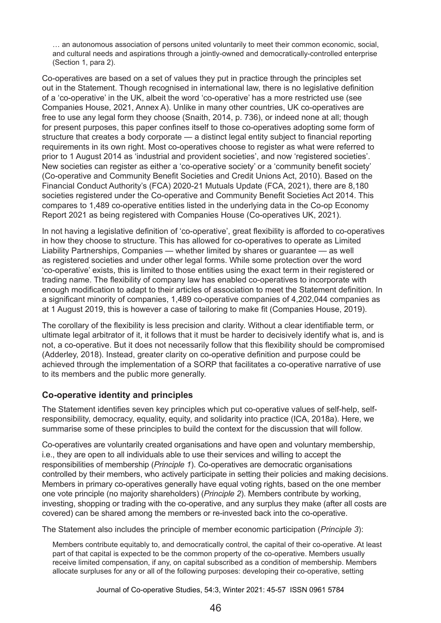… an autonomous association of persons united voluntarily to meet their common economic, social, and cultural needs and aspirations through a jointly-owned and democratically-controlled enterprise (Section 1, para 2).

Co-operatives are based on a set of values they put in practice through the principles set out in the Statement. Though recognised in international law, there is no legislative definition of a 'co‑operative' in the UK, albeit the word 'co-operative' has a more restricted use (see Companies House, 2021, Annex A). Unlike in many other countries, UK co-operatives are free to use any legal form they choose (Snaith, 2014, p. 736), or indeed none at all; though for present purposes, this paper confines itself to those co-operatives adopting some form of structure that creates a body corporate — a distinct legal entity subject to financial reporting requirements in its own right. Most co-operatives choose to register as what were referred to prior to 1 August 2014 as 'industrial and provident societies', and now 'registered societies'. New societies can register as either a 'co-operative society' or a 'community benefit society' (Co-operative and Community Benefit Societies and Credit Unions Act, 2010). Based on the Financial Conduct Authority's (FCA) 2020-21 Mutuals Update (FCA, 2021), there are 8,180 societies registered under the Co-operative and Community Benefit Societies Act 2014. This compares to 1,489 co-operative entities listed in the underlying data in the Co-op Economy Report 2021 as being registered with Companies House (Co-operatives UK, 2021).

In not having a legislative definition of 'co-operative', great flexibility is afforded to co-operatives in how they choose to structure. This has allowed for co-operatives to operate as Limited Liability Partnerships, Companies — whether limited by shares or guarantee — as well as registered societies and under other legal forms. While some protection over the word 'co‑operative' exists, this is limited to those entities using the exact term in their registered or trading name. The flexibility of company law has enabled co-operatives to incorporate with enough modification to adapt to their articles of association to meet the Statement definition. In a significant minority of companies, 1,489 co-operative companies of 4,202,044 companies as at 1 August 2019, this is however a case of tailoring to make fit (Companies House, 2019).

The corollary of the flexibility is less precision and clarity. Without a clear identifiable term, or ultimate legal arbitrator of it, it follows that it must be harder to decisively identify what is, and is not, a co-operative. But it does not necessarily follow that this flexibility should be compromised (Adderley, 2018). Instead, greater clarity on co-operative definition and purpose could be achieved through the implementation of a SORP that facilitates a co-operative narrative of use to its members and the public more generally.

#### **Co-operative identity and principles**

The Statement identifies seven key principles which put co-operative values of self-help, selfresponsibility, democracy, equality, equity, and solidarity into practice (ICA, 2018a). Here, we summarise some of these principles to build the context for the discussion that will follow.

Co-operatives are voluntarily created organisations and have open and voluntary membership, i.e., they are open to all individuals able to use their services and willing to accept the responsibilities of membership (*Principle 1*). Co-operatives are democratic organisations controlled by their members, who actively participate in setting their policies and making decisions. Members in primary co-operatives generally have equal voting rights, based on the one member one vote principle (no majority shareholders) (*Principle 2*). Members contribute by working, investing, shopping or trading with the co-operative, and any surplus they make (after all costs are covered) can be shared among the members or re-invested back into the co-operative.

The Statement also includes the principle of member economic participation (*Principle 3*):

Members contribute equitably to, and democratically control, the capital of their co-operative. At least part of that capital is expected to be the common property of the co-operative. Members usually receive limited compensation, if any, on capital subscribed as a condition of membership. Members allocate surpluses for any or all of the following purposes: developing their co-operative, setting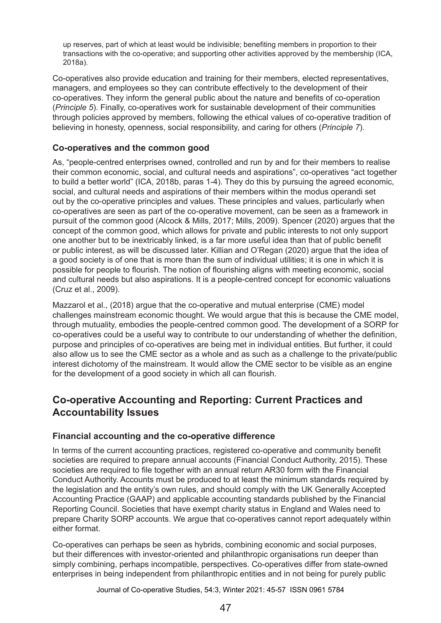up reserves, part of which at least would be indivisible; benefiting members in proportion to their transactions with the co-operative; and supporting other activities approved by the membership (ICA, 2018a).

Co-operatives also provide education and training for their members, elected representatives, managers, and employees so they can contribute effectively to the development of their co‑operatives. They inform the general public about the nature and benefits of co-operation (*Principle 5*). Finally, co-operatives work for sustainable development of their communities through policies approved by members, following the ethical values of co-operative tradition of believing in honesty, openness, social responsibility, and caring for others (*Principle 7*).

#### **Co-operatives and the common good**

As, "people-centred enterprises owned, controlled and run by and for their members to realise their common economic, social, and cultural needs and aspirations", co-operatives "act together to build a better world" (ICA, 2018b, paras 1-4). They do this by pursuing the agreed economic, social, and cultural needs and aspirations of their members within the modus operandi set out by the co-operative principles and values. These principles and values, particularly when co-operatives are seen as part of the co-operative movement, can be seen as a framework in pursuit of the common good (Alcock & Mills, 2017; Mills, 2009). Spencer (2020) argues that the concept of the common good, which allows for private and public interests to not only support one another but to be inextricably linked, is a far more useful idea than that of public benefit or public interest, as will be discussed later. Killian and O'Regan (2020) argue that the idea of a good society is of one that is more than the sum of individual utilities; it is one in which it is possible for people to flourish. The notion of flourishing aligns with meeting economic, social and cultural needs but also aspirations. It is a people-centred concept for economic valuations (Cruz et al., 2009).

Mazzarol et al., (2018) argue that the co-operative and mutual enterprise (CME) model challenges mainstream economic thought. We would argue that this is because the CME model, through mutuality, embodies the people-centred common good. The development of a SORP for co-operatives could be a useful way to contribute to our understanding of whether the definition, purpose and principles of co-operatives are being met in individual entities. But further, it could also allow us to see the CME sector as a whole and as such as a challenge to the private/public interest dichotomy of the mainstream. It would allow the CME sector to be visible as an engine for the development of a good society in which all can flourish.

## **Co-operative Accounting and Reporting: Current Practices and Accountability Issues**

#### **Financial accounting and the co-operative difference**

In terms of the current accounting practices, registered co-operative and community benefit societies are required to prepare annual accounts (Financial Conduct Authority, 2015). These societies are required to file together with an annual return AR30 form with the Financial Conduct Authority. Accounts must be produced to at least the minimum standards required by the legislation and the entity's own rules, and should comply with the UK Generally Accepted Accounting Practice (GAAP) and applicable accounting standards published by the Financial Reporting Council. Societies that have exempt charity status in England and Wales need to prepare Charity SORP accounts. We argue that co-operatives cannot report adequately within either format.

Co-operatives can perhaps be seen as hybrids, combining economic and social purposes, but their differences with investor-oriented and philanthropic organisations run deeper than simply combining, perhaps incompatible, perspectives. Co-operatives differ from state-owned enterprises in being independent from philanthropic entities and in not being for purely public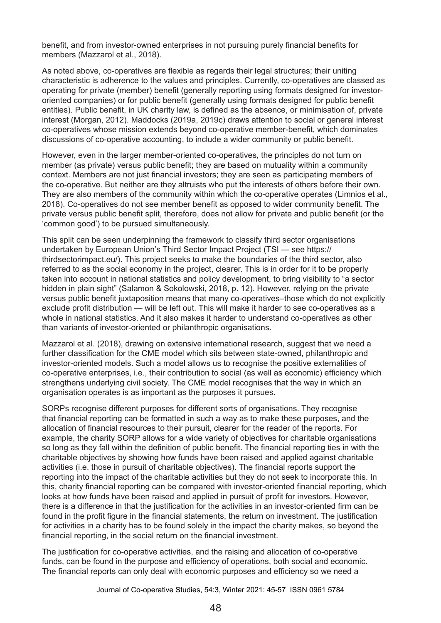benefit, and from investor-owned enterprises in not pursuing purely financial benefits for members (Mazzarol et al., 2018).

As noted above, co-operatives are flexible as regards their legal structures; their uniting characteristic is adherence to the values and principles. Currently, co-operatives are classed as operating for private (member) benefit (generally reporting using formats designed for investororiented companies) or for public benefit (generally using formats designed for public benefit entities). Public benefit, in UK charity law, is defined as the absence, or minimisation of, private interest (Morgan, 2012). Maddocks (2019a, 2019c) draws attention to social or general interest co-operatives whose mission extends beyond co-operative member-benefit, which dominates discussions of co-operative accounting, to include a wider community or public benefit.

However, even in the larger member-oriented co-operatives, the principles do not turn on member (as private) versus public benefit; they are based on mutuality within a community context. Members are not just financial investors; they are seen as participating members of the co-operative. But neither are they altruists who put the interests of others before their own. They are also members of the community within which the co-operative operates (Limnios et al., 2018). Co-operatives do not see member benefit as opposed to wider community benefit. The private versus public benefit split, therefore, does not allow for private and public benefit (or the 'common good') to be pursued simultaneously.

This split can be seen underpinning the framework to classify third sector organisations undertaken by European Union's Third Sector Impact Project (TSI — see https:// thirdsectorimpact.eu/). This project seeks to make the boundaries of the third sector, also referred to as the social economy in the project, clearer. This is in order for it to be properly taken into account in national statistics and policy development, to bring visibility to "a sector hidden in plain sight" (Salamon & Sokolowski, 2018, p. 12). However, relying on the private versus public benefit juxtaposition means that many co-operatives–those which do not explicitly exclude profit distribution — will be left out. This will make it harder to see co-operatives as a whole in national statistics. And it also makes it harder to understand co-operatives as other than variants of investor-oriented or philanthropic organisations.

Mazzarol et al. (2018), drawing on extensive international research, suggest that we need a further classification for the CME model which sits between state-owned, philanthropic and investor-oriented models. Such a model allows us to recognise the positive externalities of co-operative enterprises, i.e., their contribution to social (as well as economic) efficiency which strengthens underlying civil society. The CME model recognises that the way in which an organisation operates is as important as the purposes it pursues.

SORPs recognise different purposes for different sorts of organisations. They recognise that financial reporting can be formatted in such a way as to make these purposes, and the allocation of financial resources to their pursuit, clearer for the reader of the reports. For example, the charity SORP allows for a wide variety of objectives for charitable organisations so long as they fall within the definition of public benefit. The financial reporting ties in with the charitable objectives by showing how funds have been raised and applied against charitable activities (i.e. those in pursuit of charitable objectives). The financial reports support the reporting into the impact of the charitable activities but they do not seek to incorporate this. In this, charity financial reporting can be compared with investor-oriented financial reporting, which looks at how funds have been raised and applied in pursuit of profit for investors. However, there is a difference in that the justification for the activities in an investor-oriented firm can be found in the profit figure in the financial statements, the return on investment. The justification for activities in a charity has to be found solely in the impact the charity makes, so beyond the financial reporting, in the social return on the financial investment.

The justification for co-operative activities, and the raising and allocation of co-operative funds, can be found in the purpose and efficiency of operations, both social and economic. The financial reports can only deal with economic purposes and efficiency so we need a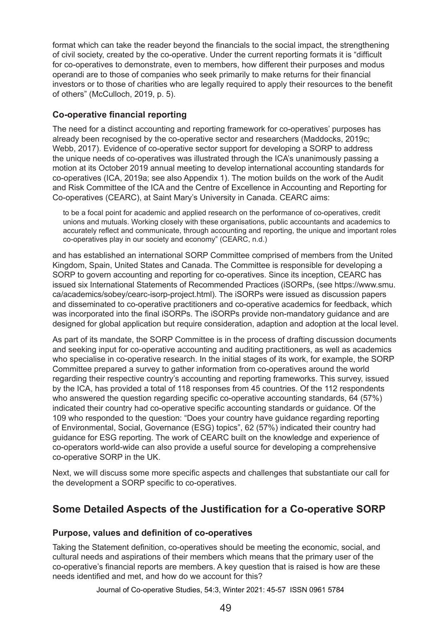format which can take the reader beyond the financials to the social impact, the strengthening of civil society, created by the co-operative. Under the current reporting formats it is "difficult for co-operatives to demonstrate, even to members, how different their purposes and modus operandi are to those of companies who seek primarily to make returns for their financial investors or to those of charities who are legally required to apply their resources to the benefit of others" (McCulloch, 2019, p. 5).

#### **Co-operative financial reporting**

The need for a distinct accounting and reporting framework for co-operatives' purposes has already been recognised by the co-operative sector and researchers (Maddocks, 2019c; Webb, 2017). Evidence of co-operative sector support for developing a SORP to address the unique needs of co-operatives was illustrated through the ICA's unanimously passing a motion at its October 2019 annual meeting to develop international accounting standards for co‑operatives (ICA, 2019a; see also Appendix 1). The motion builds on the work of the Audit and Risk Committee of the ICA and the Centre of Excellence in Accounting and Reporting for Co‑operatives (CEARC), at Saint Mary's University in Canada. CEARC aims:

to be a focal point for academic and applied research on the performance of co-operatives, credit unions and mutuals. Working closely with these organisations, public accountants and academics to accurately reflect and communicate, through accounting and reporting, the unique and important roles co-operatives play in our society and economy" (CEARC, n.d.)

and has established an international SORP Committee comprised of members from the United Kingdom, Spain, United States and Canada. The Committee is responsible for developing a SORP to govern accounting and reporting for co-operatives. Since its inception, CEARC has issued six International Statements of Recommended Practices (iSORPs, (see https://www.smu. ca/academics/sobey/cearc-isorp-project.html). The iSORPs were issued as discussion papers and disseminated to co-operative practitioners and co-operative academics for feedback, which was incorporated into the final iSORPs. The iSORPs provide non-mandatory guidance and are designed for global application but require consideration, adaption and adoption at the local level.

As part of its mandate, the SORP Committee is in the process of drafting discussion documents and seeking input for co-operative accounting and auditing practitioners, as well as academics who specialise in co-operative research. In the initial stages of its work, for example, the SORP Committee prepared a survey to gather information from co-operatives around the world regarding their respective country's accounting and reporting frameworks. This survey, issued by the ICA, has provided a total of 118 responses from 45 countries. Of the 112 respondents who answered the question regarding specific co-operative accounting standards, 64 (57%) indicated their country had co-operative specific accounting standards or guidance. Of the 109 who responded to the question: "Does your country have guidance regarding reporting of Environmental, Social, Governance (ESG) topics", 62 (57%) indicated their country had guidance for ESG reporting. The work of CEARC built on the knowledge and experience of co-operators world-wide can also provide a useful source for developing a comprehensive co-operative SORP in the UK.

Next, we will discuss some more specific aspects and challenges that substantiate our call for the development a SORP specific to co-operatives.

## **Some Detailed Aspects of the Justification for a Co-operative SORP**

#### **Purpose, values and definition of co-operatives**

Taking the Statement definition, co-operatives should be meeting the economic, social, and cultural needs and aspirations of their members which means that the primary user of the co‑operative's financial reports are members. A key question that is raised is how are these needs identified and met, and how do we account for this?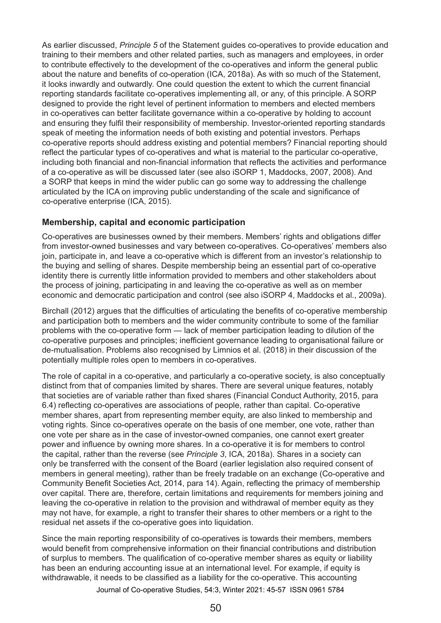As earlier discussed, *Principle 5* of the Statement guides co-operatives to provide education and training to their members and other related parties, such as managers and employees, in order to contribute effectively to the development of the co-operatives and inform the general public about the nature and benefits of co-operation (ICA, 2018a). As with so much of the Statement, it looks inwardly and outwardly. One could question the extent to which the current financial reporting standards facilitate co-operatives implementing all, or any, of this principle. A SORP designed to provide the right level of pertinent information to members and elected members in co-operatives can better facilitate governance within a co-operative by holding to account and ensuring they fulfil their responsibility of membership. Investor-oriented reporting standards speak of meeting the information needs of both existing and potential investors. Perhaps co‑operative reports should address existing and potential members? Financial reporting should reflect the particular types of co-operatives and what is material to the particular co-operative, including both financial and non-financial information that reflects the activities and performance of a co-operative as will be discussed later (see also iSORP 1, Maddocks, 2007, 2008). And a SORP that keeps in mind the wider public can go some way to addressing the challenge articulated by the ICA on improving public understanding of the scale and significance of co-operative enterprise (ICA, 2015).

#### **Membership, capital and economic participation**

Co-operatives are businesses owned by their members. Members' rights and obligations differ from investor-owned businesses and vary between co-operatives. Co-operatives' members also join, participate in, and leave a co-operative which is different from an investor's relationship to the buying and selling of shares. Despite membership being an essential part of co-operative identity there is currently little information provided to members and other stakeholders about the process of joining, participating in and leaving the co-operative as well as on member economic and democratic participation and control (see also iSORP 4, Maddocks et al., 2009a).

Birchall (2012) argues that the difficulties of articulating the benefits of co-operative membership and participation both to members and the wider community contribute to some of the familiar problems with the co-operative form — lack of member participation leading to dilution of the co-operative purposes and principles; inefficient governance leading to organisational failure or de-mutualisation. Problems also recognised by Limnios et al. (2018) in their discussion of the potentially multiple roles open to members in co-operatives.

The role of capital in a co-operative, and particularly a co-operative society, is also conceptually distinct from that of companies limited by shares. There are several unique features, notably that societies are of variable rather than fixed shares (Financial Conduct Authority, 2015, para 6.4) reflecting co-operatives are associations of people, rather than capital. Co-operative member shares, apart from representing member equity, are also linked to membership and voting rights. Since co-operatives operate on the basis of one member, one vote, rather than one vote per share as in the case of investor-owned companies, one cannot exert greater power and influence by owning more shares. In a co-operative it is for members to control the capital, rather than the reverse (see *Principle 3*, ICA, 2018a). Shares in a society can only be transferred with the consent of the Board (earlier legislation also required consent of members in general meeting), rather than be freely tradable on an exchange (Co-operative and Community Benefit Societies Act, 2014, para 14). Again, reflecting the primacy of membership over capital. There are, therefore, certain limitations and requirements for members joining and leaving the co-operative in relation to the provision and withdrawal of member equity as they may not have, for example, a right to transfer their shares to other members or a right to the residual net assets if the co-operative goes into liquidation.

Since the main reporting responsibility of co-operatives is towards their members, members would benefit from comprehensive information on their financial contributions and distribution of surplus to members. The qualification of co-operative member shares as equity or liability has been an enduring accounting issue at an international level. For example, if equity is withdrawable, it needs to be classified as a liability for the co-operative. This accounting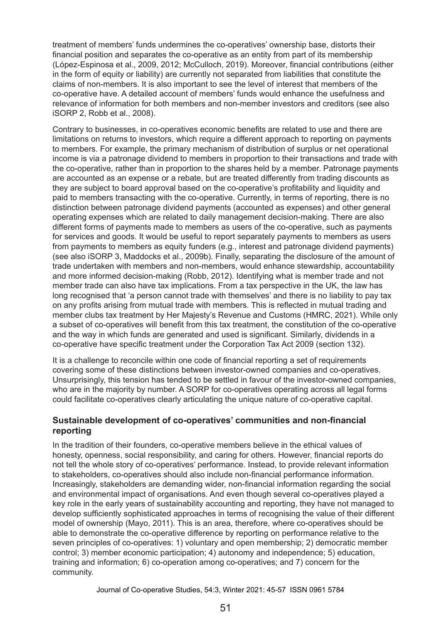treatment of members' funds undermines the co-operatives' ownership base, distorts their financial position and separates the co-operative as an entity from part of its membership (López-Espinosa et al., 2009, 2012; McCulloch, 2019). Moreover, financial contributions (either in the form of equity or liability) are currently not separated from liabilities that constitute the claims of non-members. It is also important to see the level of interest that members of the co-operative have. A detailed account of members' funds would enhance the usefulness and relevance of information for both members and non-member investors and creditors (see also iSORP 2, Robb et al., 2008).

Contrary to businesses, in co-operatives economic benefits are related to use and there are limitations on returns to investors, which require a different approach to reporting on payments to members. For example, the primary mechanism of distribution of surplus or net operational income is via a patronage dividend to members in proportion to their transactions and trade with the co-operative, rather than in proportion to the shares held by a member. Patronage payments are accounted as an expense or a rebate, but are treated differently from trading discounts as they are subject to board approval based on the co-operative's profitability and liquidity and paid to members transacting with the co-operative. Currently, in terms of reporting, there is no distinction between patronage dividend payments (accounted as expenses) and other general operating expenses which are related to daily management decision-making. There are also different forms of payments made to members as users of the co-operative, such as payments for services and goods. It would be useful to report separately payments to members as users from payments to members as equity funders (e.g., interest and patronage dividend payments) (see also iSORP 3, Maddocks et al., 2009b). Finally, separating the disclosure of the amount of trade undertaken with members and non-members, would enhance stewardship, accountability and more informed decision-making (Robb, 2012). Identifying what is member trade and not member trade can also have tax implications. From a tax perspective in the UK, the law has long recognised that 'a person cannot trade with themselves' and there is no liability to pay tax on any profits arising from mutual trade with members. This is reflected in mutual trading and member clubs tax treatment by Her Majesty's Revenue and Customs (HMRC, 2021). While only a subset of co-operatives will benefit from this tax treatment, the constitution of the co-operative and the way in which funds are generated and used is significant. Similarly, dividends in a co‑operative have specific treatment under the Corporation Tax Act 2009 (section 132).

It is a challenge to reconcile within one code of financial reporting a set of requirements covering some of these distinctions between investor-owned companies and co-operatives. Unsurprisingly, this tension has tended to be settled in favour of the investor-owned companies, who are in the majority by number. A SORP for co-operatives operating across all legal forms could facilitate co-operatives clearly articulating the unique nature of co-operative capital.

#### **Sustainable development of co-operatives' communities and non-financial reporting**

In the tradition of their founders, co-operative members believe in the ethical values of honesty, openness, social responsibility, and caring for others. However, financial reports do not tell the whole story of co-operatives' performance. Instead, to provide relevant information to stakeholders, co-operatives should also include non-financial performance information. Increasingly, stakeholders are demanding wider, non-financial information regarding the social and environmental impact of organisations. And even though several co-operatives played a key role in the early years of sustainability accounting and reporting, they have not managed to develop sufficiently sophisticated approaches in terms of recognising the value of their different model of ownership (Mayo, 2011). This is an area, therefore, where co-operatives should be able to demonstrate the co-operative difference by reporting on performance relative to the seven principles of co-operatives: 1) voluntary and open membership; 2) democratic member control; 3) member economic participation; 4) autonomy and independence; 5) education, training and information; 6) co-operation among co-operatives; and 7) concern for the community.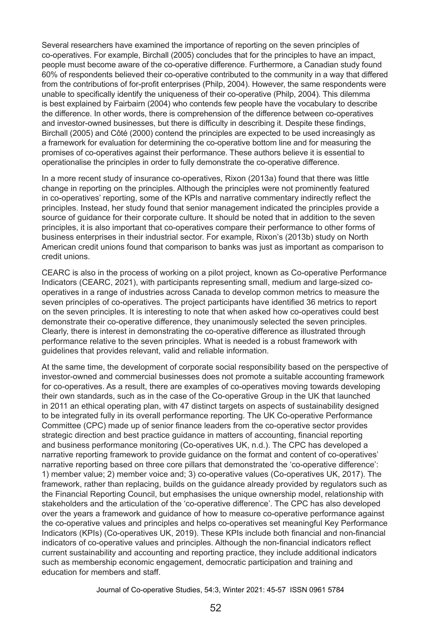Several researchers have examined the importance of reporting on the seven principles of co‑operatives. For example, Birchall (2005) concludes that for the principles to have an impact, people must become aware of the co-operative difference. Furthermore, a Canadian study found 60% of respondents believed their co-operative contributed to the community in a way that differed from the contributions of for-profit enterprises (Philp, 2004). However, the same respondents were unable to specifically identify the uniqueness of their co-operative (Philp, 2004). This dilemma is best explained by Fairbairn (2004) who contends few people have the vocabulary to describe the difference. In other words, there is comprehension of the difference between co-operatives and investor-owned businesses, but there is difficulty in describing it. Despite these findings, Birchall (2005) and Côté (2000) contend the principles are expected to be used increasingly as a framework for evaluation for determining the co-operative bottom line and for measuring the promises of co-operatives against their performance. These authors believe it is essential to operationalise the principles in order to fully demonstrate the co‑operative difference.

In a more recent study of insurance co-operatives, Rixon (2013a) found that there was little change in reporting on the principles. Although the principles were not prominently featured in co-operatives' reporting, some of the KPIs and narrative commentary indirectly reflect the principles. Instead, her study found that senior management indicated the principles provide a source of guidance for their corporate culture. It should be noted that in addition to the seven principles, it is also important that co-operatives compare their performance to other forms of business enterprises in their industrial sector. For example, Rixon's (2013b) study on North American credit unions found that comparison to banks was just as important as comparison to credit unions.

CEARC is also in the process of working on a pilot project, known as Co-operative Performance Indicators (CEARC, 2021), with participants representing small, medium and large-sized cooperatives in a range of industries across Canada to develop common metrics to measure the seven principles of co-operatives. The project participants have identified 36 metrics to report on the seven principles. It is interesting to note that when asked how co-operatives could best demonstrate their co-operative difference, they unanimously selected the seven principles. Clearly, there is interest in demonstrating the co-operative difference as illustrated through performance relative to the seven principles. What is needed is a robust framework with guidelines that provides relevant, valid and reliable information.

At the same time, the development of corporate social responsibility based on the perspective of investor-owned and commercial businesses does not promote a suitable accounting framework for co-operatives. As a result, there are examples of co-operatives moving towards developing their own standards, such as in the case of the Co-operative Group in the UK that launched in 2011 an ethical operating plan, with 47 distinct targets on aspects of sustainability designed to be integrated fully in its overall performance reporting. The UK Co-operative Performance Committee (CPC) made up of senior finance leaders from the co‑operative sector provides strategic direction and best practice guidance in matters of accounting, financial reporting and business performance monitoring (Co-operatives UK, n.d.). The CPC has developed a narrative reporting framework to provide guidance on the format and content of co-operatives' narrative reporting based on three core pillars that demonstrated the 'co-operative difference': 1) member value; 2) member voice and; 3) co‑operative values (Co-operatives UK, 2017). The framework, rather than replacing, builds on the guidance already provided by regulators such as the Financial Reporting Council, but emphasises the unique ownership model, relationship with stakeholders and the articulation of the 'co-operative difference'. The CPC has also developed over the years a framework and guidance of how to measure co-operative performance against the co-operative values and principles and helps co-operatives set meaningful Key Performance Indicators (KPIs) (Co-operatives UK, 2019). These KPIs include both financial and non-financial indicators of co-operative values and principles. Although the non-financial indicators reflect current sustainability and accounting and reporting practice, they include additional indicators such as membership economic engagement, democratic participation and training and education for members and staff.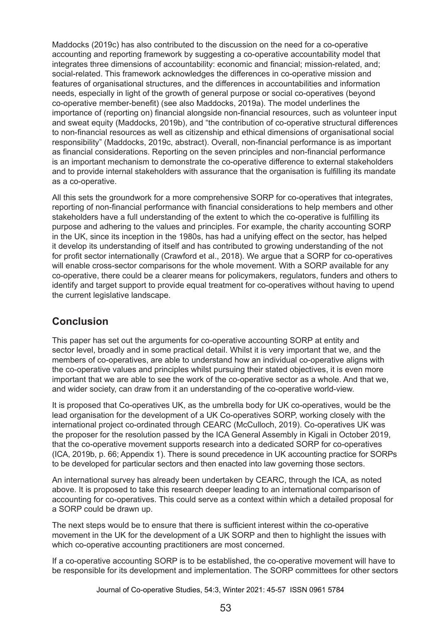Maddocks (2019c) has also contributed to the discussion on the need for a co-operative accounting and reporting framework by suggesting a co-operative accountability model that integrates three dimensions of accountability: economic and financial; mission-related, and; social-related. This framework acknowledges the differences in co-operative mission and features of organisational structures, and the differences in accountabilities and information needs, especially in light of the growth of general purpose or social co-operatives (beyond co‑operative member-benefit) (see also Maddocks, 2019a). The model underlines the importance of (reporting on) financial alongside non-financial resources, such as volunteer input and sweat equity (Maddocks, 2019b), and "the contribution of co-operative structural differences to non-financial resources as well as citizenship and ethical dimensions of organisational social responsibility" (Maddocks, 2019c, abstract). Overall, non-financial performance is as important as financial considerations. Reporting on the seven principles and non-financial performance is an important mechanism to demonstrate the co-operative difference to external stakeholders and to provide internal stakeholders with assurance that the organisation is fulfilling its mandate as a co-operative.

All this sets the groundwork for a more comprehensive SORP for co-operatives that integrates, reporting of non-financial performance with financial considerations to help members and other stakeholders have a full understanding of the extent to which the co-operative is fulfilling its purpose and adhering to the values and principles. For example, the charity accounting SORP in the UK, since its inception in the 1980s, has had a unifying effect on the sector, has helped it develop its understanding of itself and has contributed to growing understanding of the not for profit sector internationally (Crawford et al., 2018). We argue that a SORP for co-operatives will enable cross-sector comparisons for the whole movement. With a SORP available for any co‑operative, there could be a clearer means for policymakers, regulators, funders and others to identify and target support to provide equal treatment for co-operatives without having to upend the current legislative landscape.

## **Conclusion**

This paper has set out the arguments for co-operative accounting SORP at entity and sector level, broadly and in some practical detail. Whilst it is very important that we, and the members of co-operatives, are able to understand how an individual co-operative aligns with the co-operative values and principles whilst pursuing their stated objectives, it is even more important that we are able to see the work of the co-operative sector as a whole. And that we, and wider society, can draw from it an understanding of the co-operative world-view.

It is proposed that Co-operatives UK, as the umbrella body for UK co-operatives, would be the lead organisation for the development of a UK Co-operatives SORP, working closely with the international project co-ordinated through CEARC (McCulloch, 2019). Co-operatives UK was the proposer for the resolution passed by the ICA General Assembly in Kigali in October 2019, that the co-operative movement supports research into a dedicated SORP for co-operatives (ICA, 2019b, p. 66; Appendix 1). There is sound precedence in UK accounting practice for SORPs to be developed for particular sectors and then enacted into law governing those sectors.

An international survey has already been undertaken by CEARC, through the ICA, as noted above. It is proposed to take this research deeper leading to an international comparison of accounting for co-operatives. This could serve as a context within which a detailed proposal for a SORP could be drawn up.

The next steps would be to ensure that there is sufficient interest within the co-operative movement in the UK for the development of a UK SORP and then to highlight the issues with which co-operative accounting practitioners are most concerned.

If a co-operative accounting SORP is to be established, the co-operative movement will have to be responsible for its development and implementation. The SORP committees for other sectors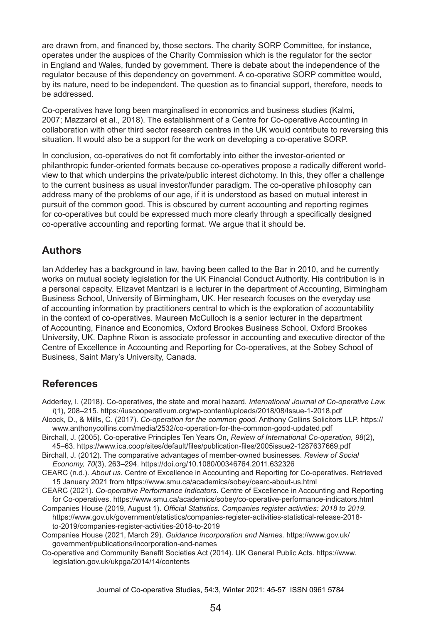are drawn from, and financed by, those sectors. The charity SORP Committee, for instance, operates under the auspices of the Charity Commission which is the regulator for the sector in England and Wales, funded by government. There is debate about the independence of the regulator because of this dependency on government. A co-operative SORP committee would, by its nature, need to be independent. The question as to financial support, therefore, needs to be addressed.

Co-operatives have long been marginalised in economics and business studies (Kalmi, 2007; Mazzarol et al., 2018). The establishment of a Centre for Co-operative Accounting in collaboration with other third sector research centres in the UK would contribute to reversing this situation. It would also be a support for the work on developing a co-operative SORP.

In conclusion, co-operatives do not fit comfortably into either the investor-oriented or philanthropic funder-oriented formats because co-operatives propose a radically different worldview to that which underpins the private/public interest dichotomy. In this, they offer a challenge to the current business as usual investor/funder paradigm. The co-operative philosophy can address many of the problems of our age, if it is understood as based on mutual interest in pursuit of the common good. This is obscured by current accounting and reporting regimes for co-operatives but could be expressed much more clearly through a specifically designed co‑operative accounting and reporting format. We argue that it should be.

## **Authors**

Ian Adderley has a background in law, having been called to the Bar in 2010, and he currently works on mutual society legislation for the UK Financial Conduct Authority. His contribution is in a personal capacity. Elizavet Mantzari is a lecturer in the department of Accounting, Birmingham Business School, University of Birmingham, UK. Her research focuses on the everyday use of accounting information by practitioners central to which is the exploration of accountability in the context of co-operatives. Maureen McCulloch is a senior lecturer in the department of Accounting, Finance and Economics, Oxford Brookes Business School, Oxford Brookes University, UK. Daphne Rixon is associate professor in accounting and executive director of the Centre of Excellence in Accounting and Reporting for Co-operatives, at the Sobey School of Business, Saint Mary's University, Canada.

## **References**

Adderley, I. (2018). Co-operatives, the state and moral hazard. *International Journal of Co-operative Law. I*(1), 208–215. https://iuscooperativum.org/wp-content/uploads/2018/08/Issue-1-2018.pdf

Alcock, D., & Mills, C. (2017). *Co-operation for the common good.* Anthony Collins Solicitors LLP. https:// www.anthonycollins.com/media/2532/co-operation-for-the-common-good-updated.pdf

Birchall, J. (2005). Co-operative Principles Ten Years On, *Review of International Co-operation, 98*(2), 45–63. https://www.ica.coop/sites/default/files/publication-files/2005issue2-1287637669.pdf

Birchall, J. (2012). The comparative advantages of member-owned businesses. *Review of Social Economy, 70*(3), 263–294. https://doi.org/10.1080/00346764.2011.632326

CEARC (n.d.). *About us*. Centre of Excellence in Accounting and Reporting for Co-operatives. Retrieved 15 January 2021 from https://www.smu.ca/academics/sobey/cearc-about-us.html

CEARC (2021). *Co-operative Performance Indicators*. Centre of Excellence in Accounting and Reporting for Co-operatives. https://www.smu.ca/academics/sobey/co-operative-performance-indicators.html

Companies House (2019, August 1). *Official Statistics. Companies register activities: 2018 to 2019*. https://www.gov.uk/government/statistics/companies-register-activities-statistical-release-2018 to-2019/companies-register-activities-2018-to-2019

Companies House (2021, March 29). *Guidance Incorporation and Names.* https://www.gov.uk/ government/publications/incorporation-and-names

Co-operative and Community Benefit Societies Act (2014). UK General Public Acts. https://www. legislation.gov.uk/ukpga/2014/14/contents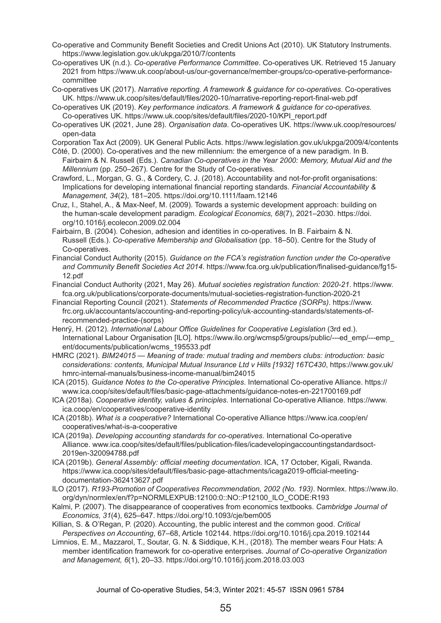- Co-operative and Community Benefit Societies and Credit Unions Act (2010). UK Statutory Instruments. https://www.legislation.gov.uk/ukpga/2010/7/contents
- Co-operatives UK (n.d.). *Co-operative Performance Committee*. Co-operatives UK. Retrieved 15 January 2021 from https://www.uk.coop/about-us/our-governance/member-groups/co-operative-performancecommittee
- Co-operatives UK (2017). *Narrative reporting. A framework & guidance for co-operatives*. Co-operatives UK. https://www.uk.coop/sites/default/files/2020-10/narrative-reporting-report-final-web.pdf
- Co-operatives UK (2019). *Key performance indicators. A framework & guidance for co-operatives.* Co‑operatives UK. https://www.uk.coop/sites/default/files/2020-10/KPI\_report.pdf
- Co-operatives UK (2021, June 28). *Organisation data*. Co-operatives UK. https://www.uk.coop/resources/ open-data
- Corporation Tax Act (2009). UK General Public Acts. https://www.legislation.gov.uk/ukpga/2009/4/contents
- Côté, D. (2000). Co-operatives and the new millennium: the emergence of a new paradigm. In B. Fairbairn & N. Russell (Eds.). *Canadian Co-operatives in the Year 2000: Memory, Mutual Aid and the Millennium* (pp. 250–267). Centre for the Study of Co-operatives.
- Crawford, L., Morgan, G. G., & Cordery, C. J. (2018). Accountability and not-for-profit organisations: Implications for developing international financial reporting standards. *Financial Accountability & Management, 34*(2), 181–205. https://doi.org/10.1111/faam.12146
- Cruz, I., Stahel, A., & Max-Neef, M. (2009). Towards a systemic development approach: building on the human-scale development paradigm. *Ecological Economics, 68*(7), 2021–2030. https://doi. org/10.1016/j.ecolecon.2009.02.004
- Fairbairn, B. (2004). Cohesion, adhesion and identities in co-operatives. In B. Fairbairn & N. Russell (Eds.). *Co-operative Membership and Globalisation* (pp. 18–50). Centre for the Study of Co-operatives.
- Financial Conduct Authority (2015). *Guidance on the FCA's registration function under the Co-operative and Community Benefit Societies Act 2014*. https://www.fca.org.uk/publication/finalised-guidance/fg15- 12.pdf
- Financial Conduct Authority (2021, May 26). *Mutual societies registration function: 2020-21*. https://www. fca.org.uk/publications/corporate-documents/mutual-societies-registration-function-2020-21
- Financial Reporting Council (2021). *Statements of Recommended Practice (SORPs)*. https://www. frc.org.uk/accountants/accounting-and-reporting-policy/uk-accounting-standards/statements-ofrecommended-practice-(sorps)
- Henrÿ, H. (2012). *International Labour Office Guidelines for Cooperative Legislation* (3rd ed.). International Labour Organisation [ILO]. https://www.ilo.org/wcmsp5/groups/public/---ed\_emp/---emp\_ ent/documents/publication/wcms\_195533.pdf
- HMRC (2021). *BIM24015 Meaning of trade: mutual trading and members clubs: introduction: basic considerations: contents, Municipal Mutual Insurance Ltd v Hills [1932] 16TC430*, https://www.gov.uk/ hmrc-internal-manuals/business-income-manual/bim24015
- ICA (2015). *Guidance Notes to the Co-operative Principles*. International Co-operative Alliance. https:// www.ica.coop/sites/default/files/basic-page-attachments/guidance-notes-en-221700169.pdf
- ICA (2018a). *Cooperative identity, values & principles*. International Co-operative Alliance. https://www. ica.coop/en/cooperatives/cooperative-identity
- ICA (2018b). *What is a cooperative?* International Co-operative Alliance https://www.ica.coop/en/ cooperatives/what-is-a-cooperative
- ICA (2019a). *Developing accounting standards for co-operatives*. International Co-operative Alliance. www.ica.coop/sites/default/files/publication-files/icadevelopingaccountingstandardsoct-2019en-320094788.pdf
- ICA (2019b). *General Assembly: official meeting documentation*. ICA, 17 October, Kigali, Rwanda. https://www.ica.coop/sites/default/files/basic-page-attachments/icaga2019-official-meetingdocumentation-362413627.pdf
- ILO (2017). *R193-Promotion of Cooperatives Recommendation, 2002 (No. 193)*. Normlex. https://www.ilo. org/dyn/normlex/en/f?p=NORMLEXPUB:12100:0::NO::P12100\_ILO\_CODE:R193
- Kalmi, P. (2007). The disappearance of cooperatives from economics textbooks. *Cambridge Journal of Economics, 31*(4), 625–647. https://doi.org/10.1093/cje/bem005
- Killian, S. & O'Regan, P. (2020). Accounting, the public interest and the common good. *Critical Perspectives on Accounting*, 67–68, Article 102144. https://doi.org/10.1016/j.cpa.2019.102144
- Limnios, E. M., Mazzarol, T., Soutar, G. N. & Siddique, K.H., (2018). The member wears Four Hats: A member identification framework for co-operative enterprises. *Journal of Co-operative Organization and Management, 6*(1), 20–33. https://doi.org/10.1016/j.jcom.2018.03.003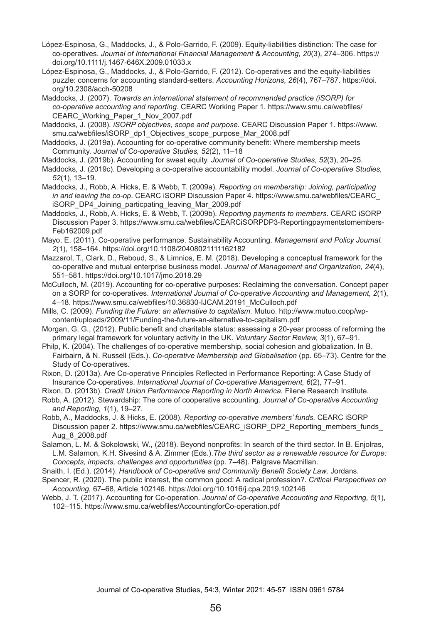- López-Espinosa, G., Maddocks, J., & Polo-Garrido, F. (2009). Equity-liabilities distinction: The case for co-operatives. *Journal of International Financial Management & Accounting, 20*(3), 274–306. https:// doi.org/10.1111/j.1467-646X.2009.01033.x
- López-Espinosa, G., Maddocks, J., & Polo-Garrido, F. (2012). Co-operatives and the equity-liabilities puzzle: concerns for accounting standard-setters. *Accounting Horizons, 26*(4), 767–787. https://doi. org/10.2308/acch-50208
- Maddocks, J. (2007). *Towards an international statement of recommended practice (iSORP) for co-operative accounting and reporting*. CEARC Working Paper 1. https://www.smu.ca/webfiles/ CEARC\_Working\_Paper\_1\_Nov\_2007.pdf

Maddocks, J. (2008)*. iSORP objectives, scope and purpose*. CEARC Discussion Paper 1. https://www. smu.ca/webfiles/iSORP\_dp1\_Objectives\_scope\_purpose\_Mar\_2008.pdf

- Maddocks, J. (2019a). Accounting for co-operative community benefit: Where membership meets Community. *Journal of Co-operative Studies, 52*(2), 11–18
- Maddocks, J. (2019b). Accounting for sweat equity. *Journal of Co-operative Studies, 52*(3), 20–25.
- Maddocks, J. (2019c). Developing a co-operative accountability model. *Journal of Co-operative Studies, 52*(1), 13–19.
- Maddocks, J., Robb, A. Hicks, E. & Webb, T. (2009a). *Reporting on membership: Joining, participating in and leaving the co-op*. CEARC iSORP Discussion Paper 4. https://www.smu.ca/webfiles/CEARC\_ iSORP\_DP4\_Joining\_particpating\_leaving\_Mar\_2009.pdf
- Maddocks, J., Robb, A. Hicks, E. & Webb, T. (2009b). *Reporting payments to members*. CEARC iSORP Discussion Paper 3. https://www.smu.ca/webfiles/CEARCiSORPDP3-Reportingpaymentstomembers-Feb162009.pdf
- Mayo, E. (2011). Co-operative performance. Sustainability Accounting. *Management and Policy Journal. 2*(1), 158–164. https://doi.org/10.1108/20408021111162182
- Mazzarol, T., Clark, D., Reboud, S., & Limnios, E. M. (2018). Developing a conceptual framework for the co-operative and mutual enterprise business model. *Journal of Management and Organization, 24*(4), 551–581. https://doi.org/10.1017/jmo.2018.29
- McCulloch, M. (2019). Accounting for co-operative purposes: Reclaiming the conversation. Concept paper on a SORP for co-operatives. *International Journal of Co-operative Accounting and Management, 2*(1), 4–18. https://www.smu.ca/webfiles/10.36830-IJCAM.20191\_McCulloch.pdf
- Mills, C. (2009). *Funding the Future: an alternative to capitalism.* Mutuo. http://www.mutuo.coop/wpcontent/uploads/2009/11/Funding-the-future-an-alternative-to-capitalism.pdf
- Morgan, G. G., (2012). Public benefit and charitable status: assessing a 20-year process of reforming the primary legal framework for voluntary activity in the UK. *Voluntary Sector Review, 3*(1), 67–91.
- Philp, K. (2004). The challenges of co-operative membership, social cohesion and globalization. In B. Fairbairn, & N. Russell (Eds.). *Co-operative Membership and Globalisation* (pp. 65–73). Centre for the Study of Co-operatives.
- Rixon, D. (2013a). Are Co-operative Principles Reflected in Performance Reporting: A Case Study of Insurance Co-operatives. *International Journal of Co-operative Management, 6*(2), 77–91.

Rixon, D. (2013b). *Credit Union Performance Reporting in North America.* Filene Research Institute.

- Robb, A. (2012). Stewardship: The core of cooperative accounting. *Journal of Co-operative Accounting and Reporting, 1*(1), 19–27.
- Robb, A., Maddocks, J. & Hicks, E. (2008). *Reporting co-operative members' funds.* CEARC iSORP Discussion paper 2. https://www.smu.ca/webfiles/CEARC\_iSORP\_DP2\_Reporting\_members\_funds Aug\_8\_2008.pdf
- Salamon, L. M. & Sokolowski, W., (2018). Beyond nonprofits: In search of the third sector. In B. Enjolras, L.M. Salamon, K.H. Sivesind & A. Zimmer (Eds.).*The third sector as a renewable resource for Europe: Concepts, impacts, challenges and opportunities* (pp. 7–48). Palgrave Macmillan.
- Snaith, I. (Ed.). (2014). *Handbook of Co-operative and Community Benefit Society Law*. Jordans.
- Spencer, R. (2020). The public interest, the common good: A radical profession?. *Critical Perspectives on Accounting,* 67–68, Article 102146. https://doi.org/10.1016/j.cpa.2019.102146
- Webb, J. T. (2017). Accounting for Co-operation. *Journal of Co-operative Accounting and Reporting, 5*(1), 102–115. https://www.smu.ca/webfiles/AccountingforCo-operation.pdf